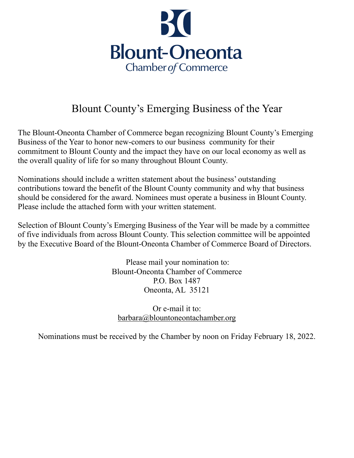

## Blount County's Emerging Business of the Year

The Blount-Oneonta Chamber of Commerce began recognizing Blount County's Emerging Business of the Year to honor new-comers to our business community for their commitment to Blount County and the impact they have on our local economy as well as the overall quality of life for so many throughout Blount County.

Nominations should include a written statement about the business' outstanding contributions toward the benefit of the Blount County community and why that business should be considered for the award. Nominees must operate a business in Blount County. Please include the attached form with your written statement.

Selection of Blount County's Emerging Business of the Year will be made by a committee of five individuals from across Blount County. This selection committee will be appointed by the Executive Board of the Blount-Oneonta Chamber of Commerce Board of Directors.

> Please mail your nomination to: Blount-Oneonta Chamber of Commerce P.O. Box 1487 Oneonta, AL 35121

Or e-mail it to: [barbara@blountoneontachamber.org](mailto:barbara@blountoneontachamber.org)

Nominations must be received by the Chamber by noon on Friday February 18, 2022.